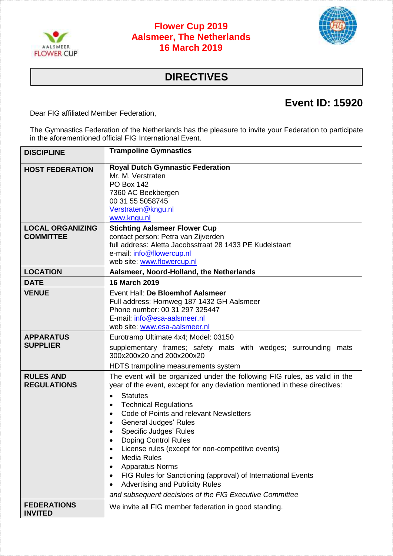

## **Flower Cup 2019 Aalsmeer, The Netherlands 16 March 2019**



## **DIRECTIVES**

## **Event ID: 15920**

Dear FIG affiliated Member Federation,

The Gymnastics Federation of the Netherlands has the pleasure to invite your Federation to participate in the aforementioned official FIG International Event.

| <b>DISCIPLINE</b>                           | <b>Trampoline Gymnastics</b>                                                                                                                                                                                                                                                                                                                                                                                                                                                                                                                                                                                              |
|---------------------------------------------|---------------------------------------------------------------------------------------------------------------------------------------------------------------------------------------------------------------------------------------------------------------------------------------------------------------------------------------------------------------------------------------------------------------------------------------------------------------------------------------------------------------------------------------------------------------------------------------------------------------------------|
| <b>HOST FEDERATION</b>                      | <b>Royal Dutch Gymnastic Federation</b><br>Mr. M. Verstraten<br><b>PO Box 142</b><br>7360 AC Beekbergen<br>00 31 55 5058745<br>Verstraten@kngu.nl<br>www.kngu.nl                                                                                                                                                                                                                                                                                                                                                                                                                                                          |
| <b>LOCAL ORGANIZING</b><br><b>COMMITTEE</b> | <b>Stichting Aalsmeer Flower Cup</b><br>contact person: Petra van Zijverden<br>full address: Aletta Jacobsstraat 28 1433 PE Kudelstaart<br>e-mail: info@flowercup.nl<br>web site: www.flowercup.nl                                                                                                                                                                                                                                                                                                                                                                                                                        |
| <b>LOCATION</b>                             | Aalsmeer, Noord-Holland, the Netherlands                                                                                                                                                                                                                                                                                                                                                                                                                                                                                                                                                                                  |
| <b>DATE</b>                                 | <b>16 March 2019</b>                                                                                                                                                                                                                                                                                                                                                                                                                                                                                                                                                                                                      |
| <b>VENUE</b>                                | Event Hall: De Bloemhof Aalsmeer<br>Full address: Hornweg 187 1432 GH Aalsmeer<br>Phone number: 00 31 297 325447<br>E-mail: info@esa-aalsmeer.nl<br>web site: www.esa-aalsmeer.nl                                                                                                                                                                                                                                                                                                                                                                                                                                         |
| <b>APPARATUS</b><br><b>SUPPLIER</b>         | Eurotramp Ultimate 4x4; Model: 03150<br>supplementary frames; safety mats with wedges; surrounding mats<br>300x200x20 and 200x200x20<br>HDTS trampoline measurements system                                                                                                                                                                                                                                                                                                                                                                                                                                               |
| <b>RULES AND</b><br><b>REGULATIONS</b>      | The event will be organized under the following FIG rules, as valid in the<br>year of the event, except for any deviation mentioned in these directives:<br><b>Statutes</b><br><b>Technical Regulations</b><br>Code of Points and relevant Newsletters<br><b>General Judges' Rules</b><br><b>Specific Judges' Rules</b><br>Doping Control Rules<br>License rules (except for non-competitive events)<br><b>Media Rules</b><br><b>Apparatus Norms</b><br>FIG Rules for Sanctioning (approval) of International Events<br><b>Advertising and Publicity Rules</b><br>and subsequent decisions of the FIG Executive Committee |
| <b>FEDERATIONS</b><br><b>INVITED</b>        | We invite all FIG member federation in good standing.                                                                                                                                                                                                                                                                                                                                                                                                                                                                                                                                                                     |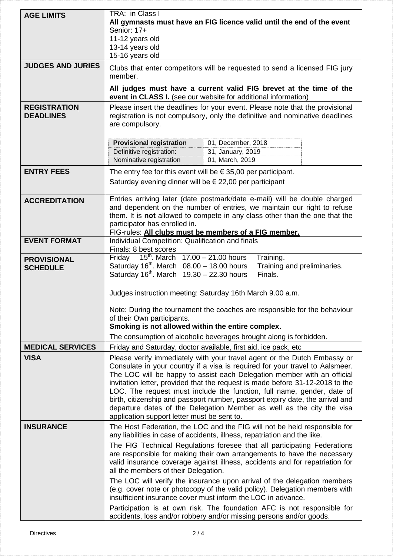| <b>AGE LIMITS</b>                       | TRA: in Class I<br>All gymnasts must have an FIG licence valid until the end of the event<br>Senior: 17+<br>11-12 years old<br>13-14 years old<br>15-16 years old                                                                                                                                                                                                                                                                                                                                                                                                                                                                                                          |  |  |
|-----------------------------------------|----------------------------------------------------------------------------------------------------------------------------------------------------------------------------------------------------------------------------------------------------------------------------------------------------------------------------------------------------------------------------------------------------------------------------------------------------------------------------------------------------------------------------------------------------------------------------------------------------------------------------------------------------------------------------|--|--|
| <b>JUDGES AND JURIES</b>                | Clubs that enter competitors will be requested to send a licensed FIG jury<br>member.                                                                                                                                                                                                                                                                                                                                                                                                                                                                                                                                                                                      |  |  |
|                                         | All judges must have a current valid FIG brevet at the time of the<br>event in CLASS I. (see our website for additional information)                                                                                                                                                                                                                                                                                                                                                                                                                                                                                                                                       |  |  |
| <b>REGISTRATION</b><br><b>DEADLINES</b> | Please insert the deadlines for your event. Please note that the provisional<br>registration is not compulsory, only the definitive and nominative deadlines<br>are compulsory.                                                                                                                                                                                                                                                                                                                                                                                                                                                                                            |  |  |
|                                         | <b>Provisional registration</b><br>01, December, 2018<br>Definitive registration:<br>31, January, 2019<br>Nominative registration<br>01, March, 2019                                                                                                                                                                                                                                                                                                                                                                                                                                                                                                                       |  |  |
| <b>ENTRY FEES</b>                       | The entry fee for this event will be $\epsilon$ 35,00 per participant.<br>Saturday evening dinner will be $\epsilon$ 22,00 per participant                                                                                                                                                                                                                                                                                                                                                                                                                                                                                                                                 |  |  |
| <b>ACCREDITATION</b>                    | Entries arriving later (date postmark/date e-mail) will be double charged<br>and dependent on the number of entries, we maintain our right to refuse<br>them. It is not allowed to compete in any class other than the one that the<br>participator has enrolled in.<br>FIG-rules: All clubs must be members of a FIG member.                                                                                                                                                                                                                                                                                                                                              |  |  |
| <b>EVENT FORMAT</b>                     | Individual Competition: Qualification and finals<br>Finals: 8 best scores                                                                                                                                                                                                                                                                                                                                                                                                                                                                                                                                                                                                  |  |  |
| <b>PROVISIONAL</b><br><b>SCHEDULE</b>   | 15 <sup>th</sup> . March $17.00 - 21.00$ hours<br>Friday<br>Training.<br>Saturday $16^{th}$ . March $08.00 - 18.00$ hours<br>Training and preliminaries.<br>Saturday $16^{th}$ . March $19.30 - 22.30$ hours<br>Finals.                                                                                                                                                                                                                                                                                                                                                                                                                                                    |  |  |
|                                         | Judges instruction meeting: Saturday 16th March 9.00 a.m.                                                                                                                                                                                                                                                                                                                                                                                                                                                                                                                                                                                                                  |  |  |
|                                         | Note: During the tournament the coaches are responsible for the behaviour<br>of their Own participants.<br>Smoking is not allowed within the entire complex.                                                                                                                                                                                                                                                                                                                                                                                                                                                                                                               |  |  |
|                                         | The consumption of alcoholic beverages brought along is forbidden.                                                                                                                                                                                                                                                                                                                                                                                                                                                                                                                                                                                                         |  |  |
| <b>MEDICAL SERVICES</b><br><b>VISA</b>  | Friday and Saturday, doctor available, first aid, ice pack, etc<br>Please verify immediately with your travel agent or the Dutch Embassy or<br>Consulate in your country if a visa is required for your travel to Aalsmeer.<br>The LOC will be happy to assist each Delegation member with an official<br>invitation letter, provided that the request is made before 31-12-2018 to the<br>LOC. The request must include the function, full name, gender, date of<br>birth, citizenship and passport number, passport expiry date, the arrival and<br>departure dates of the Delegation Member as well as the city the visa<br>application support letter must be sent to. |  |  |
| <b>INSURANCE</b>                        | The Host Federation, the LOC and the FIG will not be held responsible for<br>any liabilities in case of accidents, illness, repatriation and the like.                                                                                                                                                                                                                                                                                                                                                                                                                                                                                                                     |  |  |
|                                         | The FIG Technical Regulations foresee that all participating Federations<br>are responsible for making their own arrangements to have the necessary<br>valid insurance coverage against illness, accidents and for repatriation for<br>all the members of their Delegation.                                                                                                                                                                                                                                                                                                                                                                                                |  |  |
|                                         | The LOC will verify the insurance upon arrival of the delegation members<br>(e.g. cover note or photocopy of the valid policy). Delegation members with<br>insufficient insurance cover must inform the LOC in advance.                                                                                                                                                                                                                                                                                                                                                                                                                                                    |  |  |
|                                         | Participation is at own risk. The foundation AFC is not responsible for<br>accidents, loss and/or robbery and/or missing persons and/or goods.                                                                                                                                                                                                                                                                                                                                                                                                                                                                                                                             |  |  |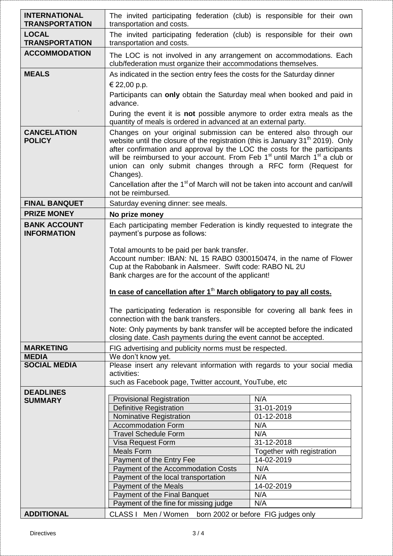| <b>INTERNATIONAL</b><br><b>TRANSPORTATION</b> | The invited participating federation (club) is responsible for their own<br>transportation and costs.                                                                                                                                                                                                                                                                                                                                                                                                                                                    |                                                                                                                                                   |  |
|-----------------------------------------------|----------------------------------------------------------------------------------------------------------------------------------------------------------------------------------------------------------------------------------------------------------------------------------------------------------------------------------------------------------------------------------------------------------------------------------------------------------------------------------------------------------------------------------------------------------|---------------------------------------------------------------------------------------------------------------------------------------------------|--|
| <b>LOCAL</b><br><b>TRANSPORTATION</b>         | The invited participating federation (club) is responsible for their own<br>transportation and costs.                                                                                                                                                                                                                                                                                                                                                                                                                                                    |                                                                                                                                                   |  |
| <b>ACCOMMODATION</b>                          | The LOC is not involved in any arrangement on accommodations. Each<br>club/federation must organize their accommodations themselves.                                                                                                                                                                                                                                                                                                                                                                                                                     |                                                                                                                                                   |  |
| <b>MEALS</b>                                  | As indicated in the section entry fees the costs for the Saturday dinner<br>€ 22,00 p.p.<br>Participants can only obtain the Saturday meal when booked and paid in<br>advance.<br>During the event it is not possible anymore to order extra meals as the<br>quantity of meals is ordered in advanced at an external party.                                                                                                                                                                                                                              |                                                                                                                                                   |  |
| <b>CANCELATION</b><br><b>POLICY</b>           | Changes on your original submission can be entered also through our<br>website until the closure of the registration (this is January 31 <sup>th</sup> 2019). Only<br>after confirmation and approval by the LOC the costs for the participants<br>will be reimbursed to your account. From Feb 1 <sup>st</sup> until March 1 <sup>st</sup> a club or<br>union can only submit changes through a RFC form (Request for<br>Changes).<br>Cancellation after the 1 <sup>st</sup> of March will not be taken into account and can/will<br>not be reimbursed. |                                                                                                                                                   |  |
| <b>FINAL BANQUET</b>                          | Saturday evening dinner: see meals.                                                                                                                                                                                                                                                                                                                                                                                                                                                                                                                      |                                                                                                                                                   |  |
| <b>PRIZE MONEY</b>                            | No prize money                                                                                                                                                                                                                                                                                                                                                                                                                                                                                                                                           |                                                                                                                                                   |  |
| <b>BANK ACCOUNT</b><br><b>INFORMATION</b>     | Each participating member Federation is kindly requested to integrate the<br>payment's purpose as follows:<br>Total amounts to be paid per bank transfer.<br>Account number: IBAN: NL 15 RABO 0300150474, in the name of Flower<br>Cup at the Rabobank in Aalsmeer. Swift code: RABO NL 2U<br>Bank charges are for the account of the applicant!<br>In case of cancellation after 1 <sup>th</sup> March obligatory to pay all costs.                                                                                                                     |                                                                                                                                                   |  |
|                                               |                                                                                                                                                                                                                                                                                                                                                                                                                                                                                                                                                          |                                                                                                                                                   |  |
|                                               | The participating federation is responsible for covering all bank fees in<br>connection with the bank transfers.                                                                                                                                                                                                                                                                                                                                                                                                                                         |                                                                                                                                                   |  |
|                                               | Note: Only payments by bank transfer will be accepted before the indicated<br>closing date. Cash payments during the event cannot be accepted.                                                                                                                                                                                                                                                                                                                                                                                                           |                                                                                                                                                   |  |
| <b>MARKETING</b>                              | FIG advertising and publicity norms must be respected.                                                                                                                                                                                                                                                                                                                                                                                                                                                                                                   |                                                                                                                                                   |  |
| <b>MEDIA</b><br><b>SOCIAL MEDIA</b>           | We don't know yet.                                                                                                                                                                                                                                                                                                                                                                                                                                                                                                                                       |                                                                                                                                                   |  |
|                                               | Please insert any relevant information with regards to your social media<br>activities:<br>such as Facebook page, Twitter account, YouTube, etc                                                                                                                                                                                                                                                                                                                                                                                                          |                                                                                                                                                   |  |
| <b>DEADLINES</b><br><b>SUMMARY</b>            | <b>Provisional Registration</b><br><b>Definitive Registration</b><br>Nominative Registration<br><b>Accommodation Form</b><br><b>Travel Schedule Form</b><br>Visa Request Form<br><b>Meals Form</b><br>Payment of the Entry Fee<br>Payment of the Accommodation Costs<br>Payment of the local transportation<br>Payment of the Meals<br>Payment of the Final Banquet<br>Payment of the fine for missing judge                                                                                                                                             | N/A<br>31-01-2019<br>01-12-2018<br>N/A<br>N/A<br>31-12-2018<br>Together with registration<br>14-02-2019<br>N/A<br>N/A<br>14-02-2019<br>N/A<br>N/A |  |
| <b>ADDITIONAL</b>                             | CLASS I Men / Women born 2002 or before FIG judges only                                                                                                                                                                                                                                                                                                                                                                                                                                                                                                  |                                                                                                                                                   |  |